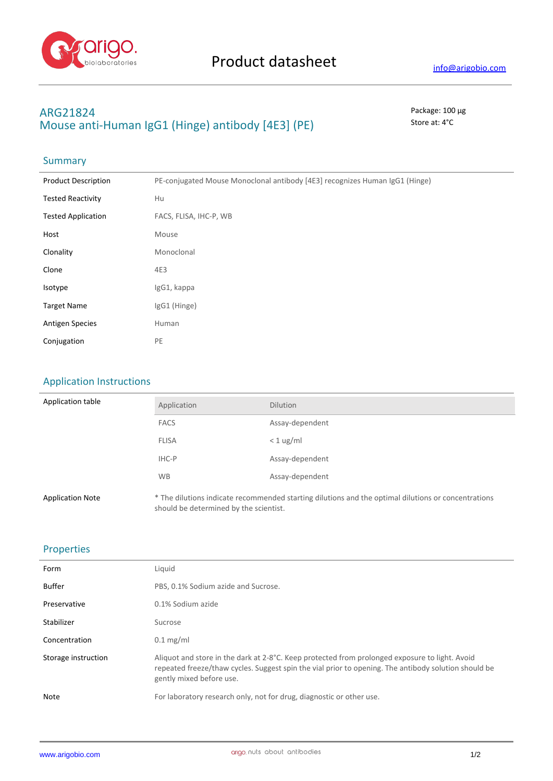

## **ARG21824** Package: 100 μg **Mouse anti-Human IgG1 (Hinge) antibody [4E3] (PE)** Store at: 4°C

# Summary

| <b>Product Description</b> | PE-conjugated Mouse Monoclonal antibody [4E3] recognizes Human IgG1 (Hinge) |
|----------------------------|-----------------------------------------------------------------------------|
| <b>Tested Reactivity</b>   | Hu                                                                          |
| <b>Tested Application</b>  | FACS, FLISA, IHC-P, WB                                                      |
| Host                       | Mouse                                                                       |
| Clonality                  | Monoclonal                                                                  |
| Clone                      | 4E3                                                                         |
| Isotype                    | IgG1, kappa                                                                 |
| <b>Target Name</b>         | IgG1 (Hinge)                                                                |
| <b>Antigen Species</b>     | Human                                                                       |
| Conjugation                | PE                                                                          |

### Application Instructions

| Application table       | Application                            | <b>Dilution</b>                                                                                     |
|-------------------------|----------------------------------------|-----------------------------------------------------------------------------------------------------|
|                         | <b>FACS</b>                            | Assay-dependent                                                                                     |
|                         | <b>FLISA</b>                           | $< 1$ ug/ml                                                                                         |
|                         | IHC-P                                  | Assay-dependent                                                                                     |
|                         | <b>WB</b>                              | Assay-dependent                                                                                     |
| <b>Application Note</b> | should be determined by the scientist. | * The dilutions indicate recommended starting dilutions and the optimal dilutions or concentrations |

#### Properties

| Form                | Liquid                                                                                                                                                                                                                             |
|---------------------|------------------------------------------------------------------------------------------------------------------------------------------------------------------------------------------------------------------------------------|
| <b>Buffer</b>       | PBS, 0.1% Sodium azide and Sucrose.                                                                                                                                                                                                |
| Preservative        | 0.1% Sodium azide                                                                                                                                                                                                                  |
| Stabilizer          | Sucrose                                                                                                                                                                                                                            |
| Concentration       | $0.1 \text{ mg/ml}$                                                                                                                                                                                                                |
| Storage instruction | Aliquot and store in the dark at 2-8°C. Keep protected from prolonged exposure to light. Avoid<br>repeated freeze/thaw cycles. Suggest spin the vial prior to opening. The antibody solution should be<br>gently mixed before use. |
| Note                | For laboratory research only, not for drug, diagnostic or other use.                                                                                                                                                               |